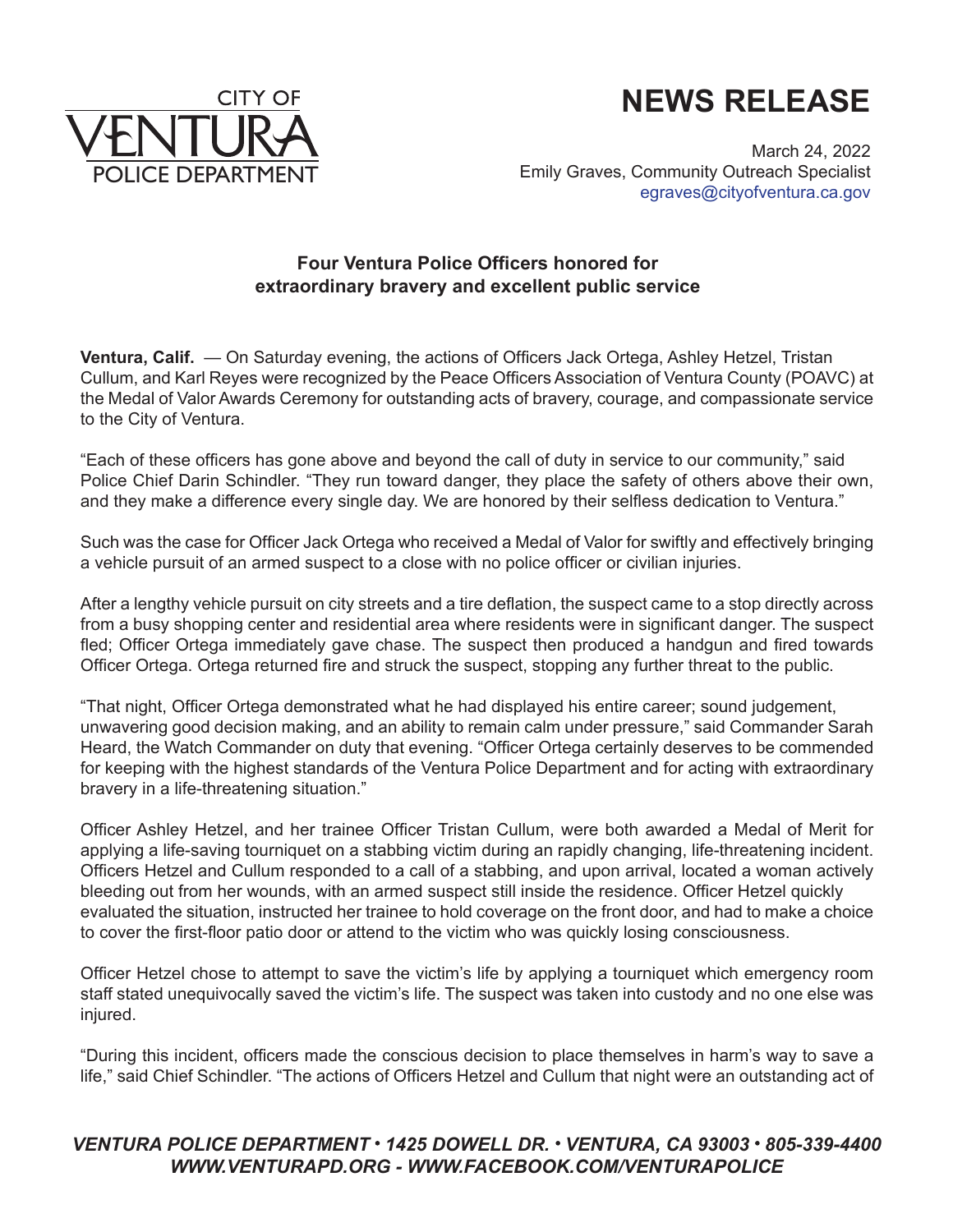



March 24, 2022 Emily Graves, Community Outreach Specialist [egraves@cityofventura.ca.gov](mailto:egraves@cityofventura.ca.gov)

## **Four Ventura Police Officers honored for extraordinary bravery and excellent public service**

**Ventura, Calif.** — On Saturday evening, the actions of Officers Jack Ortega, Ashley Hetzel, Tristan Cullum, and Karl Reyes were recognized by the Peace Officers Association of Ventura County (POAVC) at the Medal of Valor Awards Ceremony for outstanding acts of bravery, courage, and compassionate service to the City of Ventura.

"Each of these officers has gone above and beyond the call of duty in service to our community," said Police Chief Darin Schindler. "They run toward danger, they place the safety of others above their own, and they make a difference every single day. We are honored by their selfless dedication to Ventura."

Such was the case for Officer Jack Ortega who received a Medal of Valor for swiftly and effectively bringing a vehicle pursuit of an armed suspect to a close with no police officer or civilian injuries.

After a lengthy vehicle pursuit on city streets and a tire deflation, the suspect came to a stop directly across from a busy shopping center and residential area where residents were in significant danger. The suspect fled; Officer Ortega immediately gave chase. The suspect then produced a handgun and fired towards Officer Ortega. Ortega returned fire and struck the suspect, stopping any further threat to the public.

"That night, Officer Ortega demonstrated what he had displayed his entire career; sound judgement, unwavering good decision making, and an ability to remain calm under pressure," said Commander Sarah Heard, the Watch Commander on duty that evening. "Officer Ortega certainly deserves to be commended for keeping with the highest standards of the Ventura Police Department and for acting with extraordinary bravery in a life-threatening situation."

Officer Ashley Hetzel, and her trainee Officer Tristan Cullum, were both awarded a Medal of Merit for applying a life-saving tourniquet on a stabbing victim during an rapidly changing, life-threatening incident. Officers Hetzel and Cullum responded to a call of a stabbing, and upon arrival, located a woman actively bleeding out from her wounds, with an armed suspect still inside the residence. Officer Hetzel quickly evaluated the situation, instructed her trainee to hold coverage on the front door, and had to make a choice to cover the first-floor patio door or attend to the victim who was quickly losing consciousness.

Officer Hetzel chose to attempt to save the victim's life by applying a tourniquet which emergency room staff stated unequivocally saved the victim's life. The suspect was taken into custody and no one else was injured.

"During this incident, officers made the conscious decision to place themselves in harm's way to save a life," said Chief Schindler. "The actions of Officers Hetzel and Cullum that night were an outstanding act of

## VENTURA POLICE DEPARTMENT · 1425 DOWELL DR. · VENTURA, CA 93003 · 805-339-4400 *[WWW.VENTURAPD.ORG](www.venturapd.org) [- WWW.FACEBOOK.COM/VENTURAPOLICE](www.facebook.com/venturapolice)*